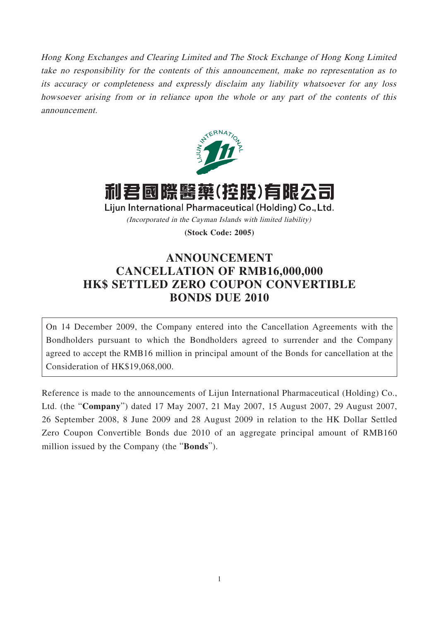Hong Kong Exchanges and Clearing Limited and The Stock Exchange of Hong Kong Limited take no responsibility for the contents of this announcement, make no representation as to its accuracy or completeness and expressly disclaim any liability whatsoever for any loss howsoever arising from or in reliance upon the whole or any part of the contents of this announcement.



利君國際醫藥(控股)有限公司 Lijun International Pharmaceutical (Holding) Co., Ltd.

(Incorporated in the Cayman Islands with limited liability)

**(Stock Code: 2005)**

## **ANNOUNCEMENT CANCELLATION OF RMB16,000,000 HK\$ SETTLED ZERO COUPON CONVERTIBLE BONDS DUE 2010**

On 14 December 2009, the Company entered into the Cancellation Agreements with the Bondholders pursuant to which the Bondholders agreed to surrender and the Company agreed to accept the RMB16 million in principal amount of the Bonds for cancellation at the Consideration of HK\$19,068,000.

Reference is made to the announcements of Lijun International Pharmaceutical (Holding) Co., Ltd. (the "**Company**") dated 17 May 2007, 21 May 2007, 15 August 2007, 29 August 2007, 26 September 2008, 8 June 2009 and 28 August 2009 in relation to the HK Dollar Settled Zero Coupon Convertible Bonds due 2010 of an aggregate principal amount of RMB160 million issued by the Company (the "**Bonds**").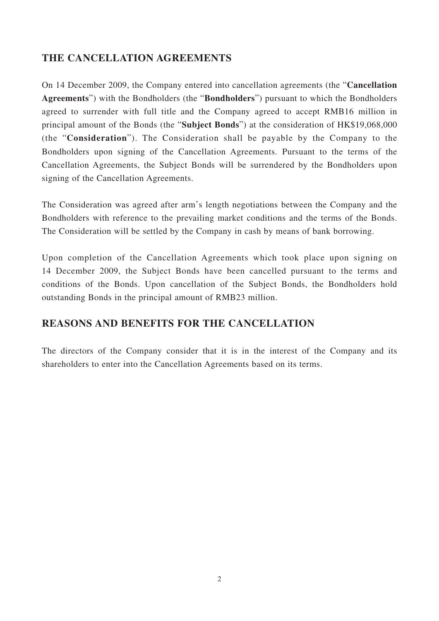## **THE CANCELLATION AGREEMENTS**

On 14 December 2009, the Company entered into cancellation agreements (the "**Cancellation Agreements**") with the Bondholders (the "**Bondholders**") pursuant to which the Bondholders agreed to surrender with full title and the Company agreed to accept RMB16 million in principal amount of the Bonds (the "**Subject Bonds**") at the consideration of HK\$19,068,000 (the "**Consideration**"). The Consideration shall be payable by the Company to the Bondholders upon signing of the Cancellation Agreements. Pursuant to the terms of the Cancellation Agreements, the Subject Bonds will be surrendered by the Bondholders upon signing of the Cancellation Agreements.

The Consideration was agreed after arm's length negotiations between the Company and the Bondholders with reference to the prevailing market conditions and the terms of the Bonds. The Consideration will be settled by the Company in cash by means of bank borrowing.

Upon completion of the Cancellation Agreements which took place upon signing on 14 December 2009, the Subject Bonds have been cancelled pursuant to the terms and conditions of the Bonds. Upon cancellation of the Subject Bonds, the Bondholders hold outstanding Bonds in the principal amount of RMB23 million.

## **REASONS AND BENEFITS FOR THE CANCELLATION**

The directors of the Company consider that it is in the interest of the Company and its shareholders to enter into the Cancellation Agreements based on its terms.